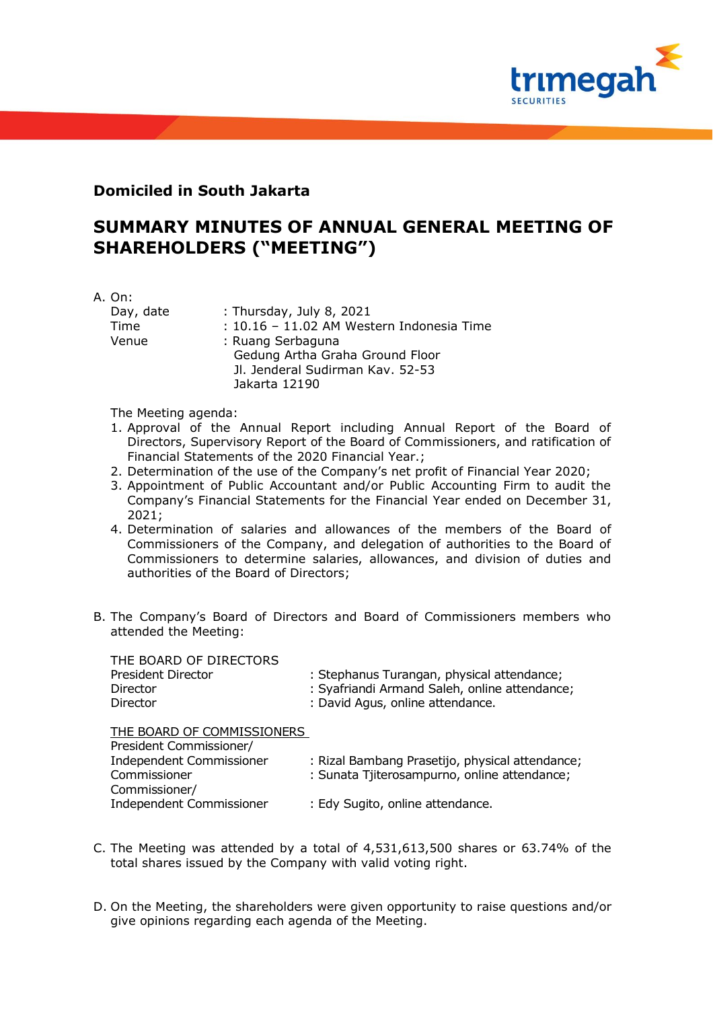

## **Domiciled in South Jakarta**

## **SUMMARY MINUTES OF ANNUAL GENERAL MEETING OF SHAREHOLDERS ("MEETING")**

A. On:

| : Thursday, July 8, 2021                  |
|-------------------------------------------|
| : 10.16 - 11.02 AM Western Indonesia Time |
| : Ruang Serbaguna                         |
| Gedung Artha Graha Ground Floor           |
| Jl. Jenderal Sudirman Kav. 52-53          |
| Jakarta 12190                             |
|                                           |

The Meeting agenda:

- 1. Approval of the Annual Report including Annual Report of the Board of Directors, Supervisory Report of the Board of Commissioners, and ratification of Financial Statements of the 2020 Financial Year.;
- 2. Determination of the use of the Company's net profit of Financial Year 2020;
- 3. Appointment of Public Accountant and/or Public Accounting Firm to audit the Company's Financial Statements for the Financial Year ended on December 31, 2021;
- 4. Determination of salaries and allowances of the members of the Board of Commissioners of the Company, and delegation of authorities to the Board of Commissioners to determine salaries, allowances, and division of duties and authorities of the Board of Directors;
- B. The Company's Board of Directors and Board of Commissioners members who attended the Meeting:

| THE BOARD OF DIRECTORS |                                               |
|------------------------|-----------------------------------------------|
| President Director     | : Stephanus Turangan, physical attendance;    |
| Director               | : Syafriandi Armand Saleh, online attendance; |
| Director               | : David Agus, online attendance.              |
|                        |                                               |

THE BOARD OF COMMISSIONERS

| President Commissioner/         |                                                 |
|---------------------------------|-------------------------------------------------|
| <b>Independent Commissioner</b> | : Rizal Bambang Prasetijo, physical attendance; |
| Commissioner                    | : Sunata Tjiterosampurno, online attendance;    |
| Commissioner/                   |                                                 |
| Independent Commissioner        | : Edy Sugito, online attendance.                |
|                                 |                                                 |

- C. The Meeting was attended by a total of 4,531,613,500 shares or 63.74% of the total shares issued by the Company with valid voting right.
- D. On the Meeting, the shareholders were given opportunity to raise questions and/or give opinions regarding each agenda of the Meeting.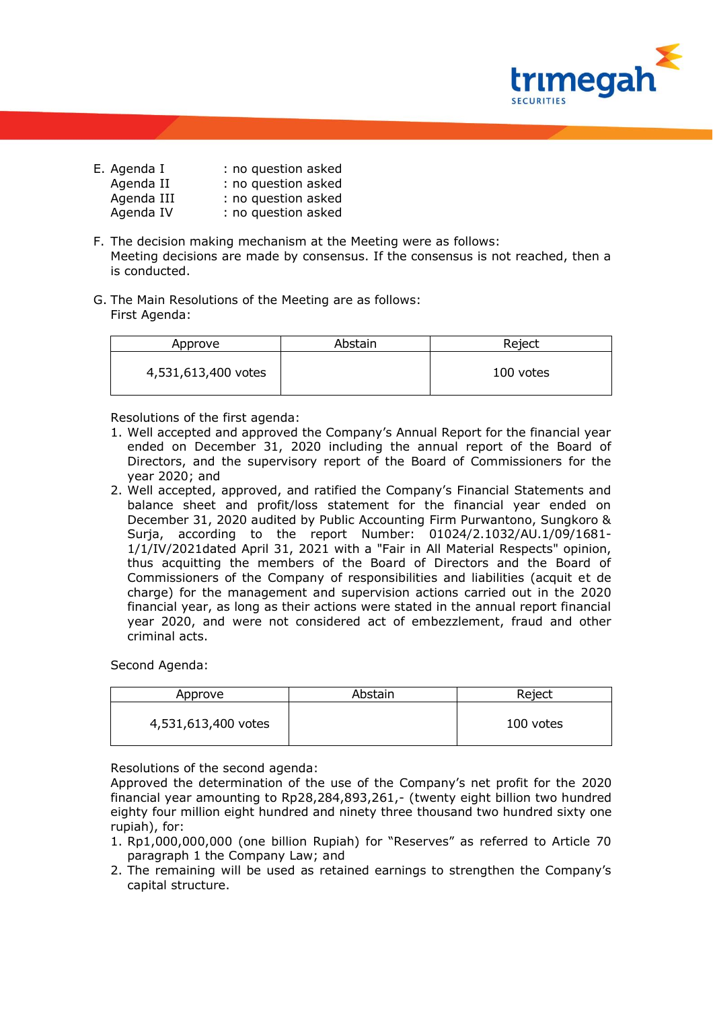

| E. Agenda I | : no question asked |
|-------------|---------------------|
| Agenda II   | : no question asked |
| Agenda III  | : no question asked |
| Agenda IV   | : no question asked |

- F. The decision making mechanism at the Meeting were as follows: Meeting decisions are made by consensus. If the consensus is not reached, then a is conducted.
- G. The Main Resolutions of the Meeting are as follows: First Agenda:

| Approve             | Abstain | Reject    |
|---------------------|---------|-----------|
| 4,531,613,400 votes |         | 100 votes |

Resolutions of the first agenda:

- 1. Well accepted and approved the Company's Annual Report for the financial year ended on December 31, 2020 including the annual report of the Board of Directors, and the supervisory report of the Board of Commissioners for the year 2020; and
- 2. Well accepted, approved, and ratified the Company's Financial Statements and balance sheet and profit/loss statement for the financial year ended on December 31, 2020 audited by Public Accounting Firm Purwantono, Sungkoro & Suria, according to the report Number: 01024/2.1032/AU.1/09/1681-1/1/IV/2021dated April 31, 2021 with a "Fair in All Material Respects" opinion, thus acquitting the members of the Board of Directors and the Board of Commissioners of the Company of responsibilities and liabilities (acquit et de charge) for the management and supervision actions carried out in the 2020 financial year, as long as their actions were stated in the annual report financial year 2020, and were not considered act of embezzlement, fraud and other criminal acts.

Second Agenda:

| Approve             | Abstain | Reject    |
|---------------------|---------|-----------|
| 4,531,613,400 votes |         | 100 votes |

Resolutions of the second agenda:

Approved the determination of the use of the Company's net profit for the 2020 financial year amounting to Rp28,284,893,261,- (twenty eight billion two hundred eighty four million eight hundred and ninety three thousand two hundred sixty one rupiah), for:

- 1. Rp1,000,000,000 (one billion Rupiah) for "Reserves" as referred to Article 70 paragraph 1 the Company Law; and
- 2. The remaining will be used as retained earnings to strengthen the Company's capital structure.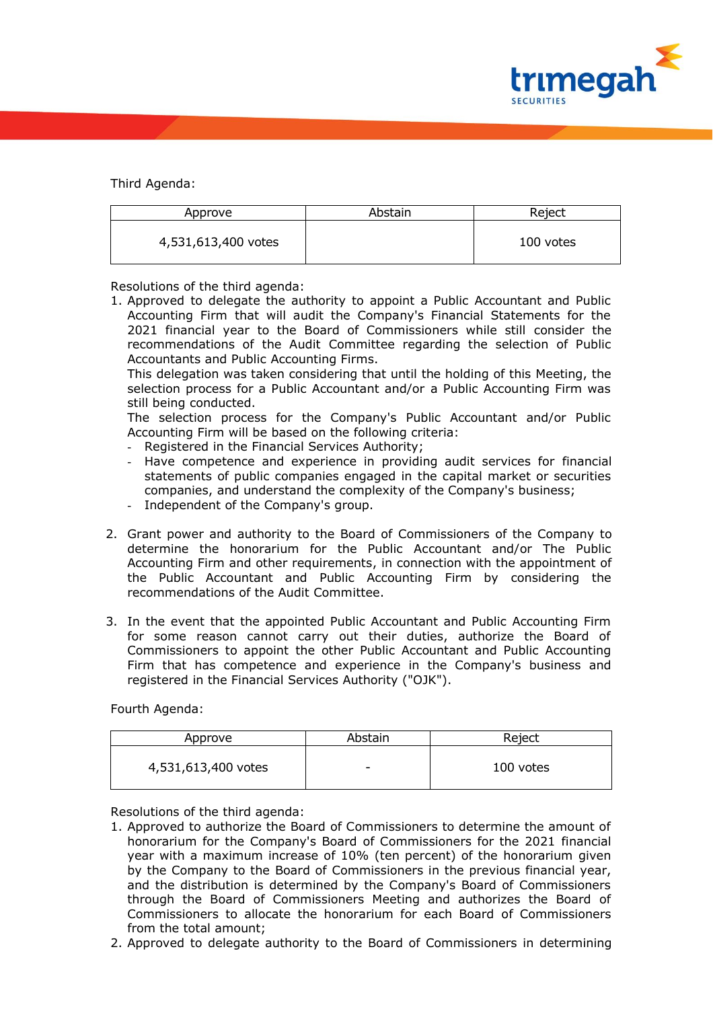

Third Agenda:

| Approve             | Abstain | Reject    |
|---------------------|---------|-----------|
| 4,531,613,400 votes |         | 100 votes |

Resolutions of the third agenda:

1. Approved to delegate the authority to appoint a Public Accountant and Public Accounting Firm that will audit the Company's Financial Statements for the 2021 financial year to the Board of Commissioners while still consider the recommendations of the Audit Committee regarding the selection of Public Accountants and Public Accounting Firms.

This delegation was taken considering that until the holding of this Meeting, the selection process for a Public Accountant and/or a Public Accounting Firm was still being conducted.

The selection process for the Company's Public Accountant and/or Public Accounting Firm will be based on the following criteria:

- Registered in the Financial Services Authority;
- Have competence and experience in providing audit services for financial statements of public companies engaged in the capital market or securities companies, and understand the complexity of the Company's business;
- Independent of the Company's group.
- 2. Grant power and authority to the Board of Commissioners of the Company to determine the honorarium for the Public Accountant and/or The Public Accounting Firm and other requirements, in connection with the appointment of the Public Accountant and Public Accounting Firm by considering the recommendations of the Audit Committee.
- 3. In the event that the appointed Public Accountant and Public Accounting Firm for some reason cannot carry out their duties, authorize the Board of Commissioners to appoint the other Public Accountant and Public Accounting Firm that has competence and experience in the Company's business and registered in the Financial Services Authority ("OJK").

Fourth Agenda:

| Approve             | Abstain | Reject    |
|---------------------|---------|-----------|
| 4,531,613,400 votes | -       | 100 votes |

Resolutions of the third agenda:

- 1. Approved to authorize the Board of Commissioners to determine the amount of honorarium for the Company's Board of Commissioners for the 2021 financial year with a maximum increase of 10% (ten percent) of the honorarium given by the Company to the Board of Commissioners in the previous financial year, and the distribution is determined by the Company's Board of Commissioners through the Board of Commissioners Meeting and authorizes the Board of Commissioners to allocate the honorarium for each Board of Commissioners from the total amount;
- 2. Approved to delegate authority to the Board of Commissioners in determining